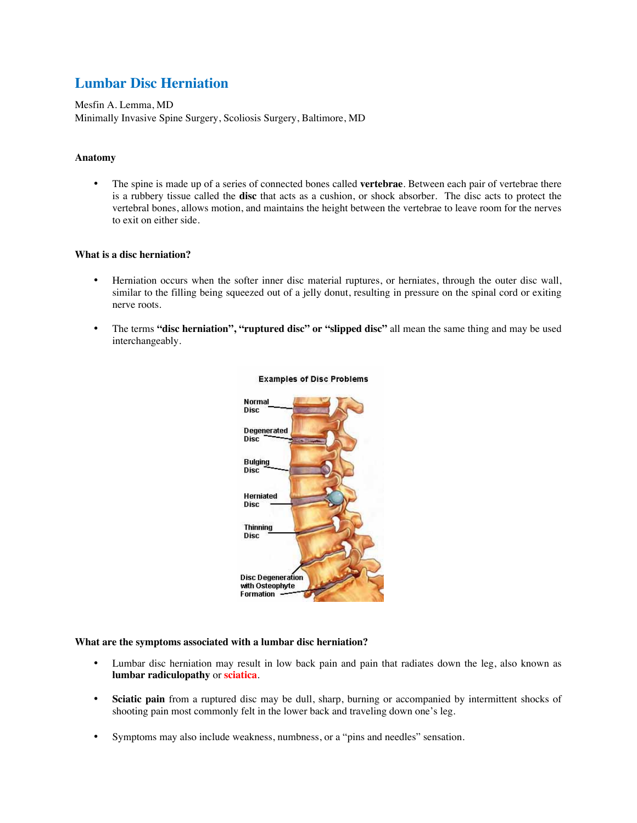# **Lumbar Disc Herniation**

Mesfin A. Lemma, MD Minimally Invasive Spine Surgery, Scoliosis Surgery, Baltimore, MD

# **Anatomy**

• The spine is made up of a series of connected bones called **vertebrae**. Between each pair of vertebrae there is a rubbery tissue called the **disc** that acts as a cushion, or shock absorber. The disc acts to protect the vertebral bones, allows motion, and maintains the height between the vertebrae to leave room for the nerves to exit on either side.

# **What is a disc herniation?**

- Herniation occurs when the softer inner disc material ruptures, or herniates, through the outer disc wall, similar to the filling being squeezed out of a jelly donut, resulting in pressure on the spinal cord or exiting nerve roots.
- The terms **"disc herniation", "ruptured disc" or "slipped disc"** all mean the same thing and may be used interchangeably.



# **Examples of Disc Problems**

# **What are the symptoms associated with a lumbar disc herniation?**

- Lumbar disc herniation may result in low back pain and pain that radiates down the leg, also known as **lumbar radiculopathy** or **sciatica**.
- **Sciatic pain** from a ruptured disc may be dull, sharp, burning or accompanied by intermittent shocks of shooting pain most commonly felt in the lower back and traveling down one's leg.
- Symptoms may also include weakness, numbness, or a "pins and needles" sensation.